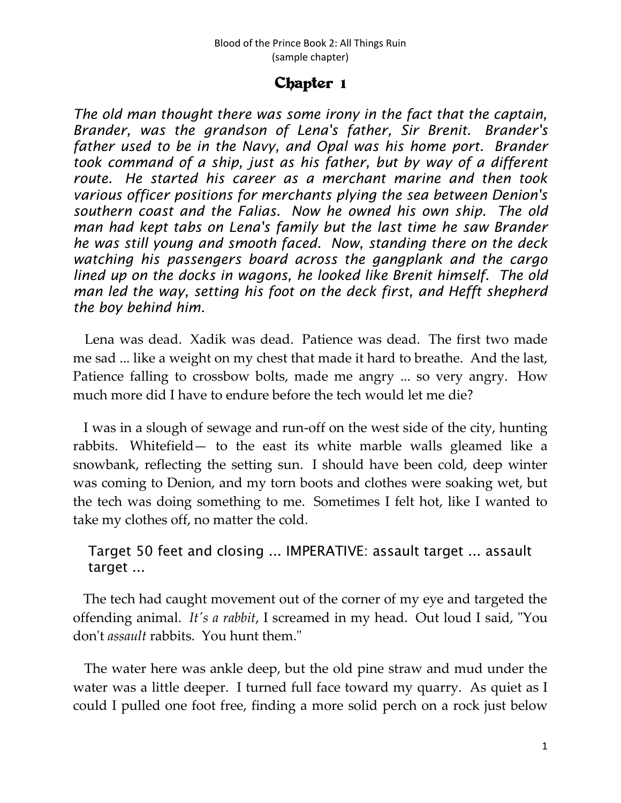## Chapter 1

*The old man thought there was some irony in the fact that the captain, Brander, was the grandson of Lena's father, Sir Brenit. Brander's father used to be in the Navy, and Opal was his home port. Brander took command of a ship, just as his father, but by way of a different route. He started his career as a merchant marine and then took various officer positions for merchants plying the sea between Denion's southern coast and the Falias. Now he owned his own ship. The old man had kept tabs on Lena's family but the last time he saw Brander he was still young and smooth faced. Now, standing there on the deck watching his passengers board across the gangplank and the cargo lined up on the docks in wagons, he looked like Brenit himself. The old man led the way, setting his foot on the deck first, and Hefft shepherd the boy behind him.*

Lena was dead. Xadik was dead. Patience was dead. The first two made me sad ... like a weight on my chest that made it hard to breathe. And the last, Patience falling to crossbow bolts, made me angry ... so very angry. How much more did I have to endure before the tech would let me die?

I was in a slough of sewage and run-off on the west side of the city, hunting rabbits. Whitefield— to the east its white marble walls gleamed like a snowbank, reflecting the setting sun. I should have been cold, deep winter was coming to Denion, and my torn boots and clothes were soaking wet, but the tech was doing something to me. Sometimes I felt hot, like I wanted to take my clothes off, no matter the cold.

## Target 50 feet and closing ... IMPERATIVE: assault target ... assault target ...

The tech had caught movement out of the corner of my eye and targeted the offending animal. *It's a rabbit*, I screamed in my head. Out loud I said, "You don't *assault* rabbits. You hunt them."

The water here was ankle deep, but the old pine straw and mud under the water was a little deeper. I turned full face toward my quarry. As quiet as I could I pulled one foot free, finding a more solid perch on a rock just below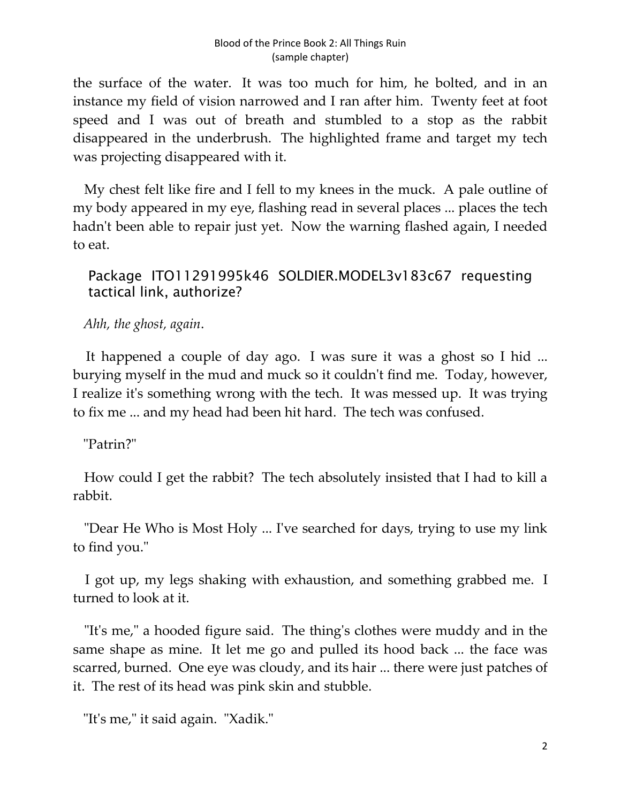the surface of the water. It was too much for him, he bolted, and in an instance my field of vision narrowed and I ran after him. Twenty feet at foot speed and I was out of breath and stumbled to a stop as the rabbit disappeared in the underbrush. The highlighted frame and target my tech was projecting disappeared with it.

My chest felt like fire and I fell to my knees in the muck. A pale outline of my body appeared in my eye, flashing read in several places ... places the tech hadn't been able to repair just yet. Now the warning flashed again, I needed to eat.

## Package ITO11291995k46 SOLDIER.MODEL3v183c67 requesting tactical link, authorize?

*Ahh, the ghost, again*.

It happened a couple of day ago. I was sure it was a ghost so I hid ... burying myself in the mud and muck so it couldn't find me. Today, however, I realize it's something wrong with the tech. It was messed up. It was trying to fix me ... and my head had been hit hard. The tech was confused.

"Patrin?"

How could I get the rabbit? The tech absolutely insisted that I had to kill a rabbit.

"Dear He Who is Most Holy ... I've searched for days, trying to use my link to find you."

I got up, my legs shaking with exhaustion, and something grabbed me. I turned to look at it.

"It's me," a hooded figure said. The thing's clothes were muddy and in the same shape as mine. It let me go and pulled its hood back ... the face was scarred, burned. One eye was cloudy, and its hair ... there were just patches of it. The rest of its head was pink skin and stubble.

"It's me," it said again. "Xadik."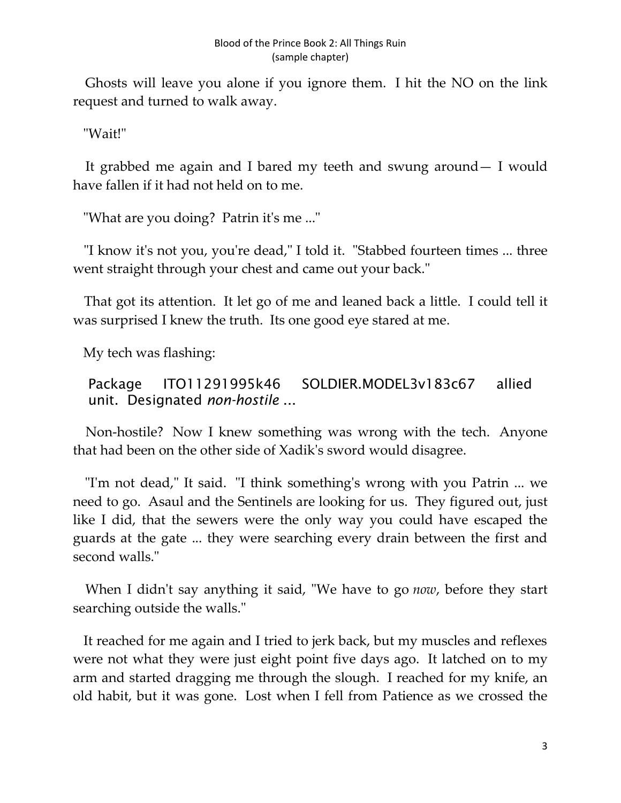Ghosts will leave you alone if you ignore them. I hit the NO on the link request and turned to walk away.

"Wait!"

It grabbed me again and I bared my teeth and swung around— I would have fallen if it had not held on to me.

"What are you doing? Patrin it's me ..."

"I know it's not you, you're dead," I told it. "Stabbed fourteen times ... three went straight through your chest and came out your back."

That got its attention. It let go of me and leaned back a little. I could tell it was surprised I knew the truth. Its one good eye stared at me.

My tech was flashing:

Package ITO11291995k46 SOLDIER.MODEL3v183c67 allied unit. Designated *non-hostile* ...

Non-hostile? Now I knew something was wrong with the tech. Anyone that had been on the other side of Xadik's sword would disagree.

"I'm not dead," It said. "I think something's wrong with you Patrin ... we need to go. Asaul and the Sentinels are looking for us. They figured out, just like I did, that the sewers were the only way you could have escaped the guards at the gate ... they were searching every drain between the first and second walls."

When I didn't say anything it said, "We have to go *now*, before they start searching outside the walls."

It reached for me again and I tried to jerk back, but my muscles and reflexes were not what they were just eight point five days ago. It latched on to my arm and started dragging me through the slough. I reached for my knife, an old habit, but it was gone. Lost when I fell from Patience as we crossed the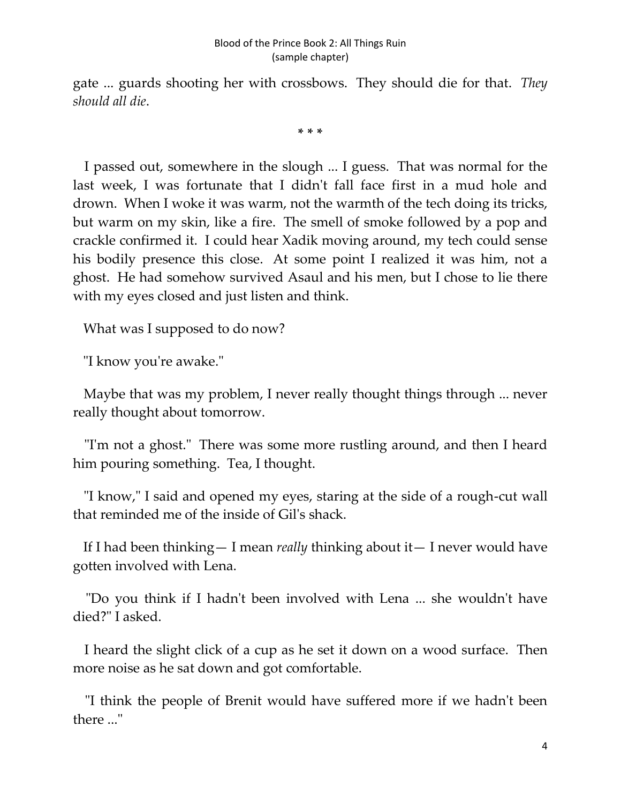gate ... guards shooting her with crossbows. They should die for that. *They should all die*.

**\* \* \***

I passed out, somewhere in the slough ... I guess. That was normal for the last week, I was fortunate that I didn't fall face first in a mud hole and drown. When I woke it was warm, not the warmth of the tech doing its tricks, but warm on my skin, like a fire. The smell of smoke followed by a pop and crackle confirmed it. I could hear Xadik moving around, my tech could sense his bodily presence this close. At some point I realized it was him, not a ghost. He had somehow survived Asaul and his men, but I chose to lie there with my eyes closed and just listen and think.

What was I supposed to do now?

"I know you're awake."

Maybe that was my problem, I never really thought things through ... never really thought about tomorrow.

"I'm not a ghost." There was some more rustling around, and then I heard him pouring something. Tea, I thought.

"I know," I said and opened my eyes, staring at the side of a rough-cut wall that reminded me of the inside of Gil's shack.

If I had been thinking— I mean *really* thinking about it— I never would have gotten involved with Lena.

"Do you think if I hadn't been involved with Lena ... she wouldn't have died?" I asked.

I heard the slight click of a cup as he set it down on a wood surface. Then more noise as he sat down and got comfortable.

"I think the people of Brenit would have suffered more if we hadn't been there ..."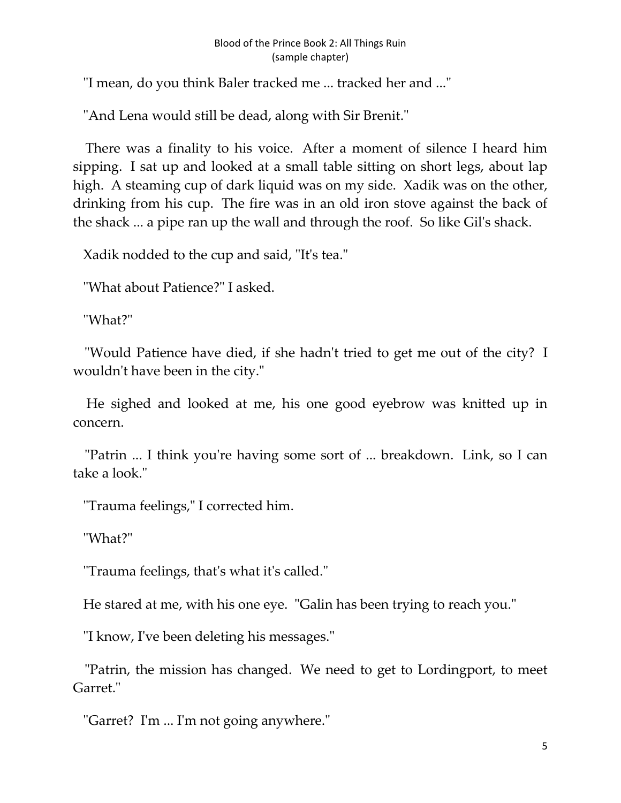## Blood of the Prince Book 2: All Things Ruin (sample chapter)

"I mean, do you think Baler tracked me ... tracked her and ..."

"And Lena would still be dead, along with Sir Brenit."

There was a finality to his voice. After a moment of silence I heard him sipping. I sat up and looked at a small table sitting on short legs, about lap high. A steaming cup of dark liquid was on my side. Xadik was on the other, drinking from his cup. The fire was in an old iron stove against the back of the shack ... a pipe ran up the wall and through the roof. So like Gil's shack.

Xadik nodded to the cup and said, "It's tea."

"What about Patience?" I asked.

"What?"

"Would Patience have died, if she hadn't tried to get me out of the city? I wouldn't have been in the city."

He sighed and looked at me, his one good eyebrow was knitted up in concern.

"Patrin ... I think you're having some sort of ... breakdown. Link, so I can take a look."

"Trauma feelings," I corrected him.

"What?"

"Trauma feelings, that's what it's called."

He stared at me, with his one eye. "Galin has been trying to reach you."

"I know, I've been deleting his messages."

"Patrin, the mission has changed. We need to get to Lordingport, to meet Garret."

"Garret? I'm ... I'm not going anywhere."